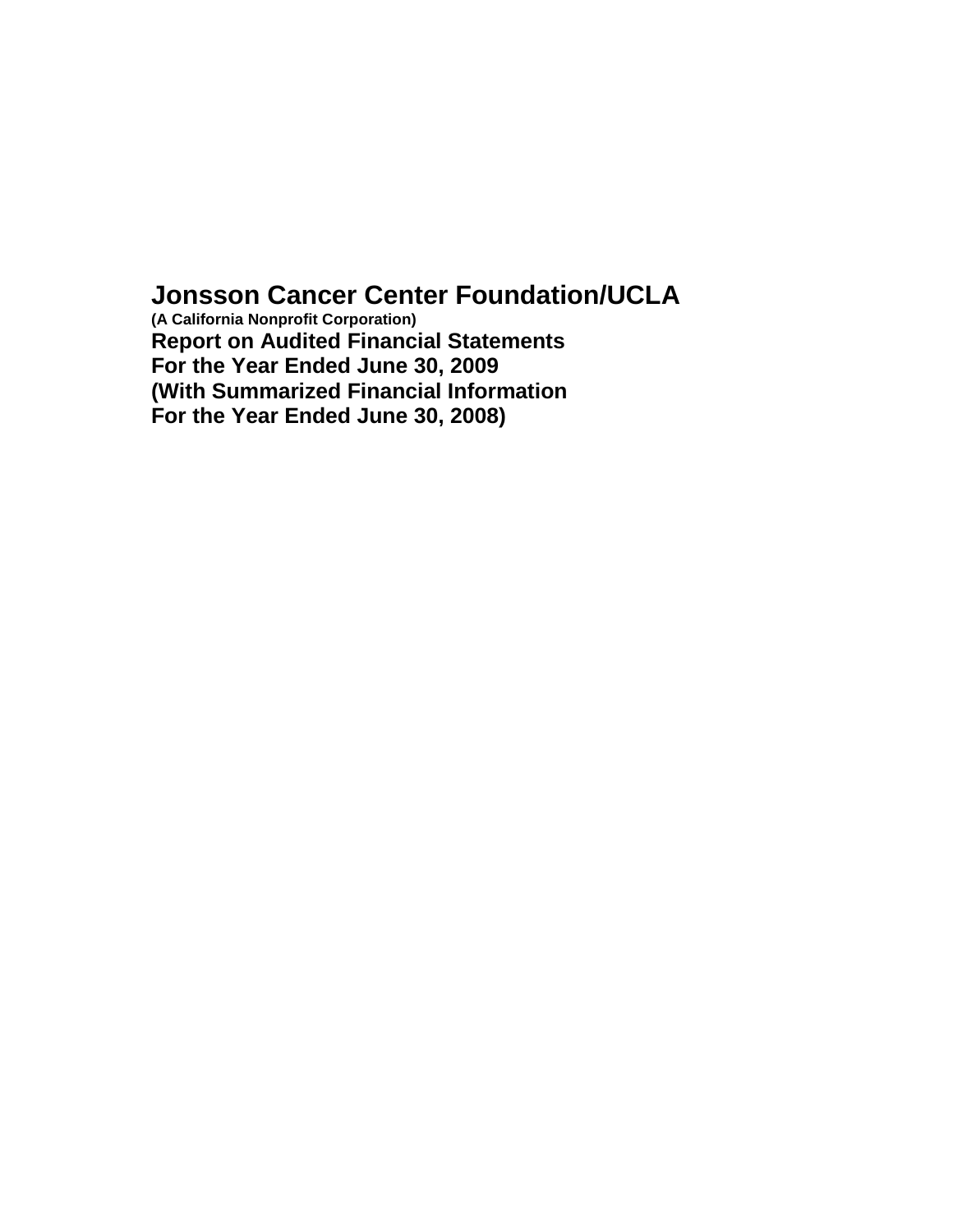# **Jonsson Cancer Center Foundation/UCLA**

**(A California Nonprofit Corporation) Report on Audited Financial Statements For the Year Ended June 30, 2009 (With Summarized Financial Information For the Year Ended June 30, 2008)**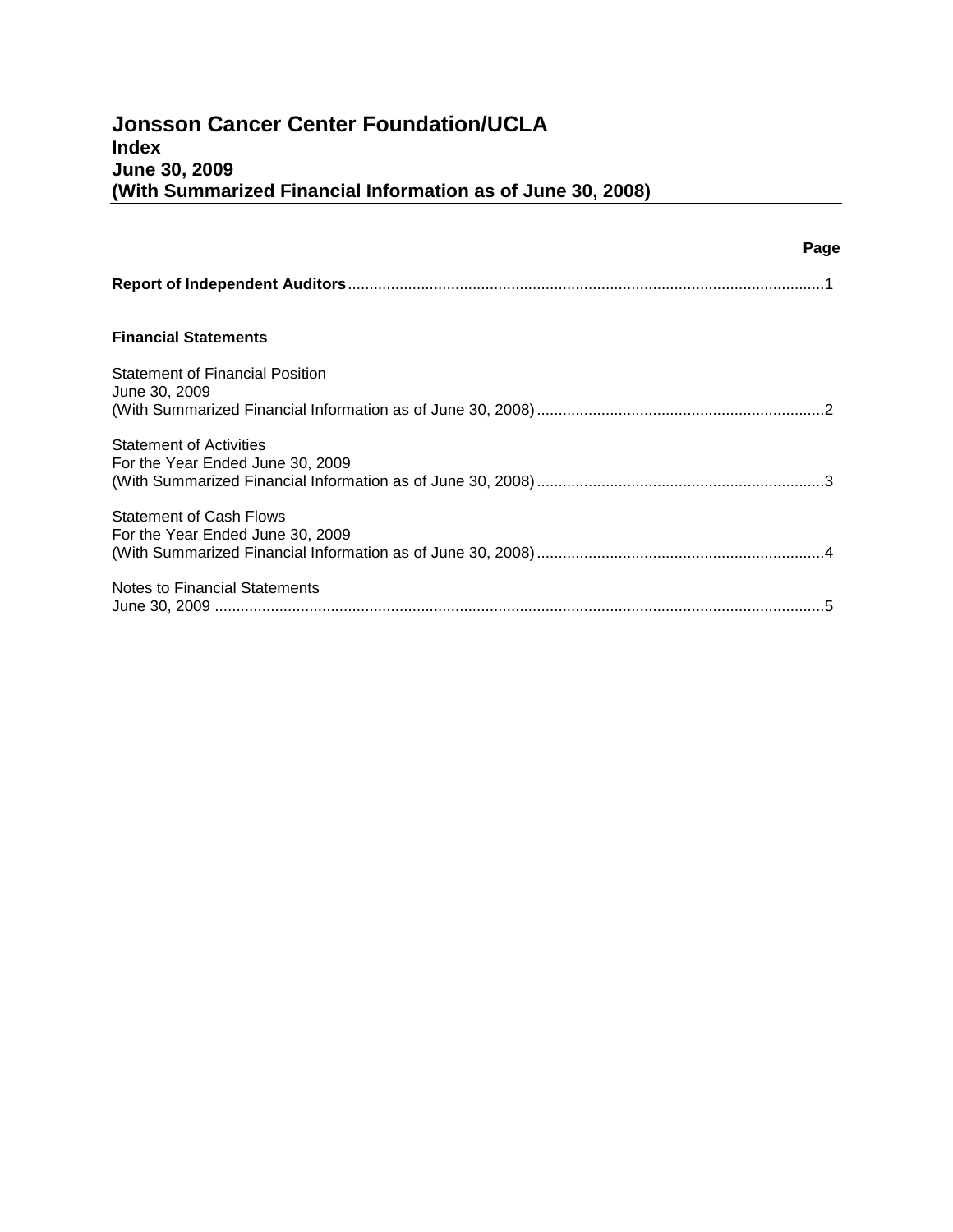|                                                                    | Page |
|--------------------------------------------------------------------|------|
|                                                                    |      |
| <b>Financial Statements</b>                                        |      |
| <b>Statement of Financial Position</b><br>June 30, 2009            |      |
| <b>Statement of Activities</b><br>For the Year Ended June 30, 2009 |      |
| <b>Statement of Cash Flows</b><br>For the Year Ended June 30, 2009 |      |
| Notes to Financial Statements                                      |      |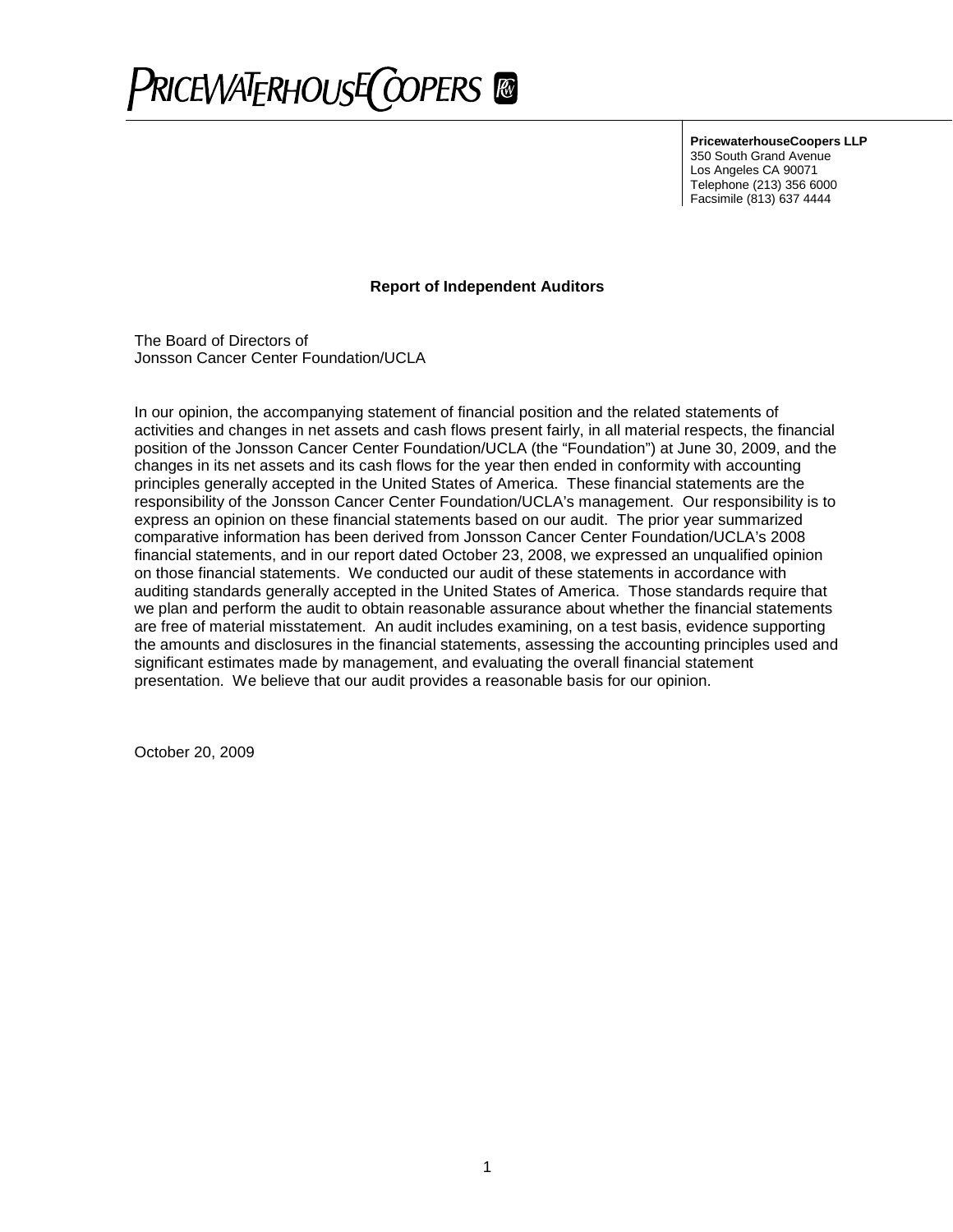

**PricewaterhouseCoopers LLP**

350 South Grand Avenue Los Angeles CA 90071 Telephone (213) 356 6000 Facsimile (813) 637 4444

# **Report of Independent Auditors**

The Board of Directors of Jonsson Cancer Center Foundation/UCLA

In our opinion, the accompanying statement of financial position and the related statements of activities and changes in net assets and cash flows present fairly, in all material respects, the financial position of the Jonsson Cancer Center Foundation/UCLA (the "Foundation") at June 30, 2009, and the changes in its net assets and its cash flows for the year then ended in conformity with accounting principles generally accepted in the United States of America. These financial statements are the responsibility of the Jonsson Cancer Center Foundation/UCLA's management. Our responsibility is to express an opinion on these financial statements based on our audit. The prior year summarized comparative information has been derived from Jonsson Cancer Center Foundation/UCLA's 2008 financial statements, and in our report dated October 23, 2008, we expressed an unqualified opinion on those financial statements. We conducted our audit of these statements in accordance with auditing standards generally accepted in the United States of America. Those standards require that we plan and perform the audit to obtain reasonable assurance about whether the financial statements are free of material misstatement. An audit includes examining, on a test basis, evidence supporting the amounts and disclosures in the financial statements, assessing the accounting principles used and significant estimates made by management, and evaluating the overall financial statement presentation. We believe that our audit provides a reasonable basis for our opinion.

October 20, 2009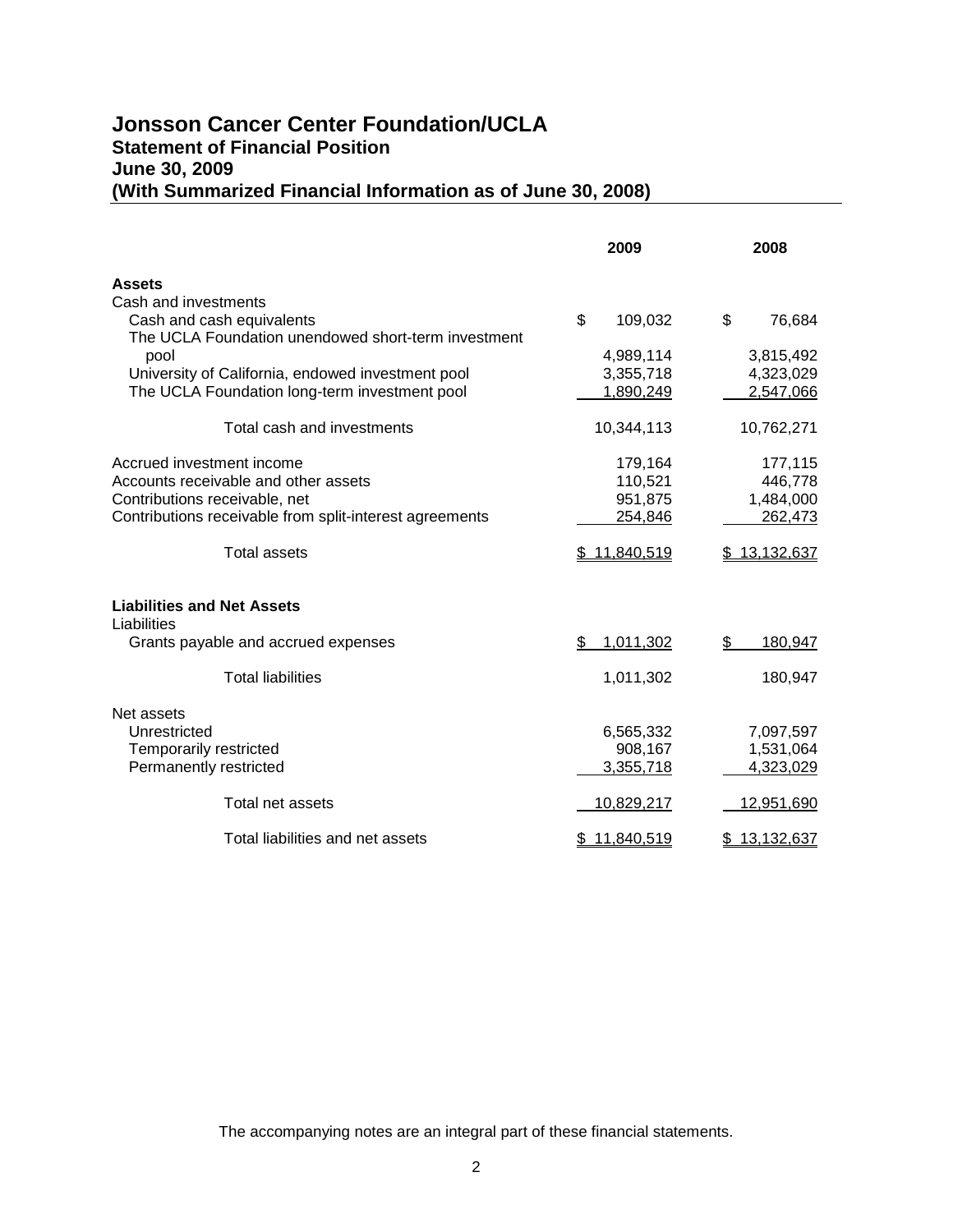# **Jonsson Cancer Center Foundation/UCLA Statement of Financial Position June 30, 2009 (With Summarized Financial Information as of June 30, 2008)**

|                                                         | 2009             | 2008          |
|---------------------------------------------------------|------------------|---------------|
| <b>Assets</b>                                           |                  |               |
| Cash and investments                                    |                  |               |
| Cash and cash equivalents                               | \$<br>109,032    | \$<br>76,684  |
| The UCLA Foundation unendowed short-term investment     |                  |               |
| pool                                                    | 4,989,114        | 3,815,492     |
| University of California, endowed investment pool       | 3,355,718        | 4,323,029     |
| The UCLA Foundation long-term investment pool           | 1,890,249        | 2,547,066     |
| Total cash and investments                              | 10,344,113       | 10,762,271    |
| Accrued investment income                               | 179,164          | 177,115       |
| Accounts receivable and other assets                    | 110,521          | 446,778       |
| Contributions receivable, net                           | 951,875          | 1,484,000     |
| Contributions receivable from split-interest agreements | 254,846          | 262,473       |
| <b>Total assets</b>                                     | 11,840,519<br>S  | \$13,132,637  |
| <b>Liabilities and Net Assets</b><br>Liabilities        |                  |               |
| Grants payable and accrued expenses                     | 1,011,302<br>\$  | 180,947<br>\$ |
| <b>Total liabilities</b>                                | 1,011,302        | 180,947       |
| Net assets                                              |                  |               |
| Unrestricted                                            | 6,565,332        | 7,097,597     |
| Temporarily restricted                                  | 908,167          | 1,531,064     |
| Permanently restricted                                  | 3,355,718        | 4,323,029     |
| Total net assets                                        | 10,829,217       | 12,951,690    |
| Total liabilities and net assets                        | 11,840,519<br>\$ | \$13,132,637  |

The accompanying notes are an integral part of these financial statements.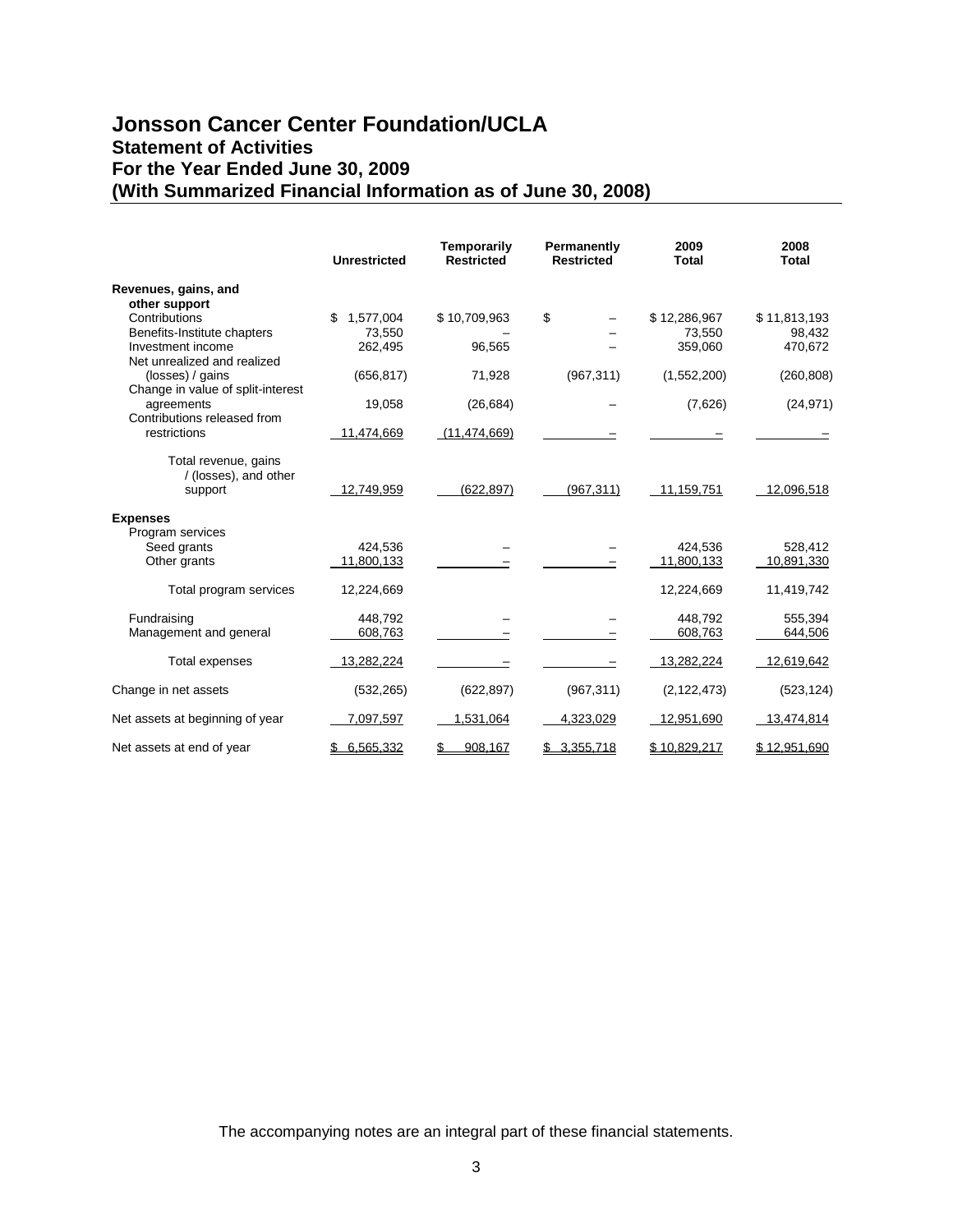# **Jonsson Cancer Center Foundation/UCLA Statement of Activities For the Year Ended June 30, 2009 (With Summarized Financial Information as of June 30, 2008)**

|                                           | <b>Unrestricted</b> | Temporarily<br><b>Restricted</b> | Permanently<br><b>Restricted</b> | 2009<br><b>Total</b> | 2008<br><b>Total</b> |
|-------------------------------------------|---------------------|----------------------------------|----------------------------------|----------------------|----------------------|
| Revenues, gains, and                      |                     |                                  |                                  |                      |                      |
| other support                             |                     |                                  |                                  |                      |                      |
| Contributions                             | \$<br>1,577,004     | \$10,709,963                     | \$                               | \$12,286,967         | \$11,813,193         |
| Benefits-Institute chapters               | 73.550              |                                  |                                  | 73.550               | 98,432               |
| Investment income                         | 262,495             | 96,565                           |                                  | 359,060              | 470,672              |
| Net unrealized and realized               |                     |                                  |                                  |                      |                      |
| (losses) / gains                          | (656, 817)          | 71,928                           | (967, 311)                       | (1,552,200)          | (260, 808)           |
| Change in value of split-interest         |                     |                                  |                                  |                      |                      |
| agreements<br>Contributions released from | 19,058              | (26, 684)                        |                                  | (7,626)              | (24, 971)            |
| restrictions                              | 11,474,669          | (11, 474, 669)                   |                                  |                      |                      |
|                                           |                     |                                  |                                  |                      |                      |
| Total revenue, gains                      |                     |                                  |                                  |                      |                      |
| / (losses), and other                     |                     |                                  |                                  |                      |                      |
| support                                   | 12,749,959          | (622, 897)                       | (967, 311)                       | 11,159,751           | 12,096,518           |
|                                           |                     |                                  |                                  |                      |                      |
| <b>Expenses</b>                           |                     |                                  |                                  |                      |                      |
| Program services                          |                     |                                  |                                  |                      |                      |
| Seed grants                               | 424,536             |                                  |                                  | 424,536              | 528,412              |
| Other grants                              | 11,800,133          |                                  |                                  | 11,800,133           | 10,891,330           |
|                                           |                     |                                  |                                  |                      |                      |
| Total program services                    | 12,224,669          |                                  |                                  | 12,224,669           | 11,419,742           |
|                                           |                     |                                  |                                  |                      |                      |
| Fundraising                               | 448.792             |                                  |                                  | 448.792              | 555,394              |
| Management and general                    | 608,763             |                                  |                                  | 608,763              | 644,506              |
| Total expenses                            | 13,282,224          |                                  |                                  | 13,282,224           | 12,619,642           |
|                                           |                     |                                  |                                  |                      |                      |
| Change in net assets                      | (532, 265)          | (622, 897)                       | (967, 311)                       | (2, 122, 473)        | (523, 124)           |
|                                           |                     |                                  |                                  |                      |                      |
| Net assets at beginning of year           | 7,097,597           | 1,531,064                        | 4,323,029                        | 12,951,690           | 13,474,814           |
|                                           |                     |                                  |                                  |                      |                      |
| Net assets at end of year                 | \$6,565,332         | 908.167<br>S                     | \$3,355,718                      | \$10,829,217         | \$12,951,690         |

The accompanying notes are an integral part of these financial statements.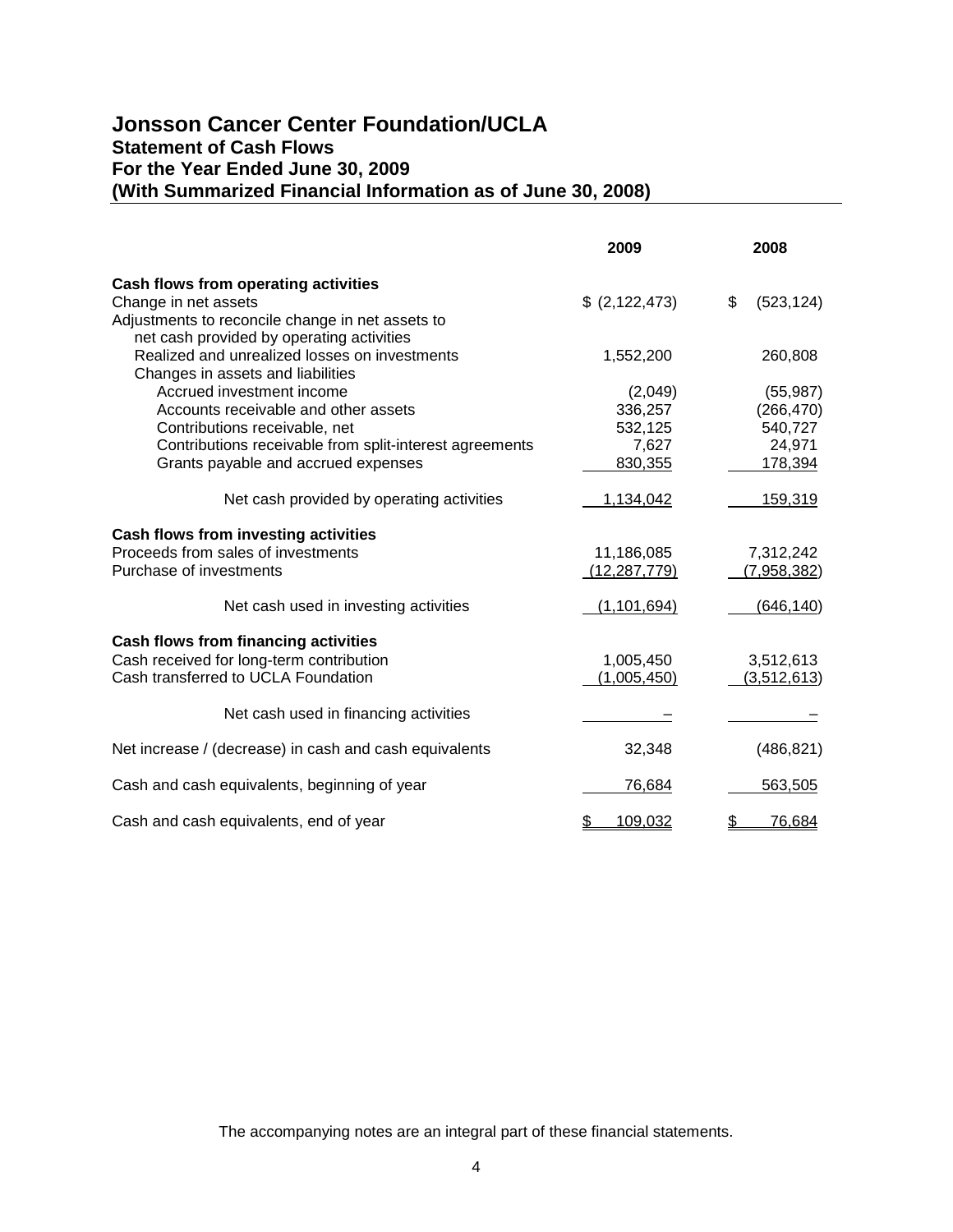# **Jonsson Cancer Center Foundation/UCLA Statement of Cash Flows For the Year Ended June 30, 2009 (With Summarized Financial Information as of June 30, 2008)**

|                                                                                               | 2009           | 2008             |
|-----------------------------------------------------------------------------------------------|----------------|------------------|
| Cash flows from operating activities                                                          |                |                  |
| Change in net assets                                                                          | \$ (2,122,473) | \$<br>(523, 124) |
| Adjustments to reconcile change in net assets to<br>net cash provided by operating activities |                |                  |
| Realized and unrealized losses on investments<br>Changes in assets and liabilities            | 1,552,200      | 260,808          |
| Accrued investment income                                                                     | (2,049)        | (55, 987)        |
| Accounts receivable and other assets                                                          | 336,257        | (266, 470)       |
| Contributions receivable, net                                                                 | 532,125        | 540,727          |
| Contributions receivable from split-interest agreements                                       | 7,627          | 24,971           |
| Grants payable and accrued expenses                                                           | 830,355        | 178,394          |
|                                                                                               |                |                  |
| Net cash provided by operating activities                                                     | 1,134,042      | 159,319          |
| Cash flows from investing activities                                                          |                |                  |
| Proceeds from sales of investments                                                            | 11,186,085     | 7,312,242        |
| Purchase of investments                                                                       | (12, 287, 779) | (7,958,382)      |
|                                                                                               |                |                  |
| Net cash used in investing activities                                                         | (1, 101, 694)  | (646, 140)       |
| Cash flows from financing activities                                                          |                |                  |
| Cash received for long-term contribution                                                      | 1,005,450      | 3,512,613        |
| Cash transferred to UCLA Foundation                                                           | (1,005,450)    | (3,512,613)      |
|                                                                                               |                |                  |
| Net cash used in financing activities                                                         |                |                  |
| Net increase / (decrease) in cash and cash equivalents                                        | 32,348         | (486, 821)       |
| Cash and cash equivalents, beginning of year                                                  | 76,684         | 563,505          |
| Cash and cash equivalents, end of year                                                        | \$<br>109,032  | \$<br>76,684     |

The accompanying notes are an integral part of these financial statements.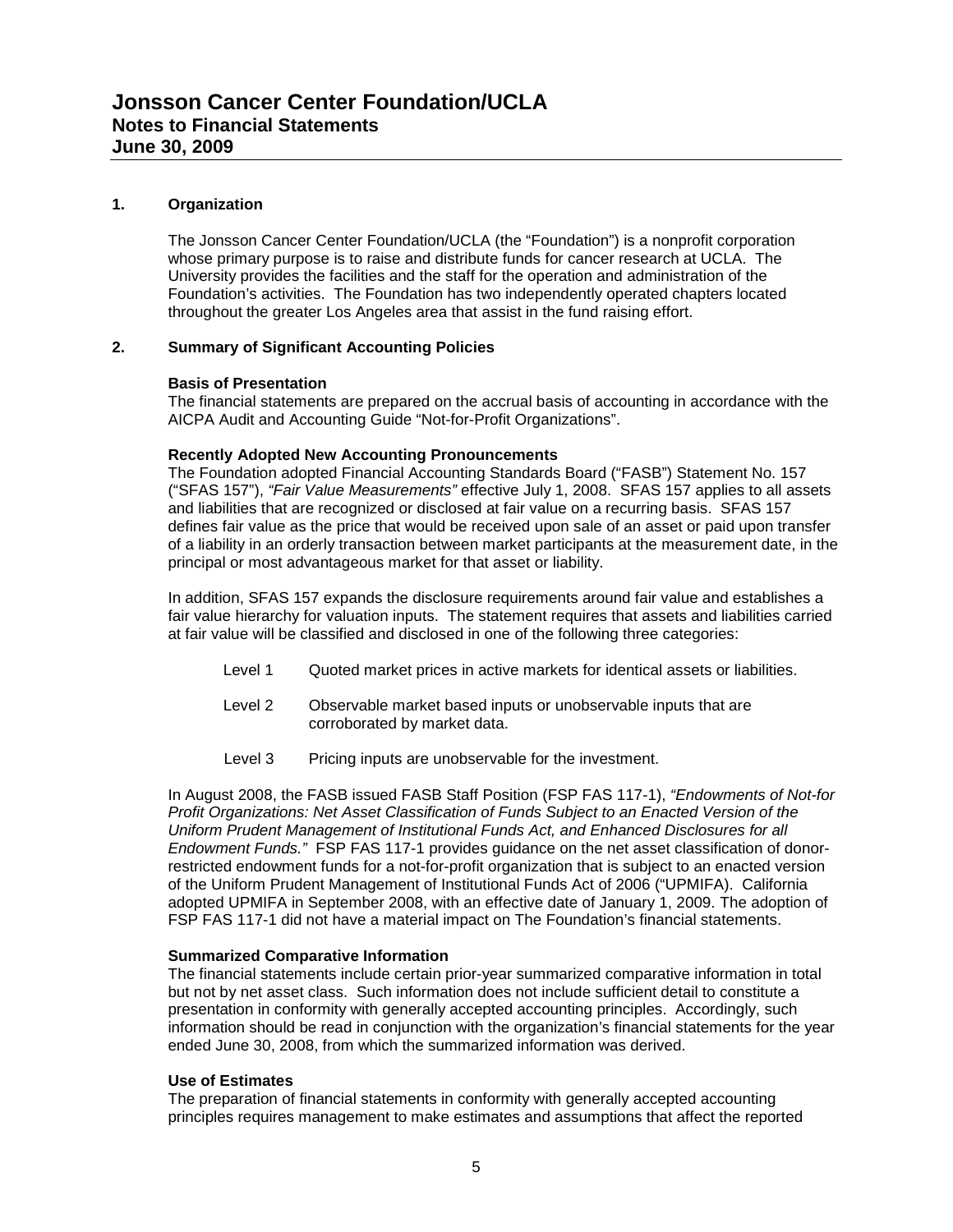# **1. Organization**

The Jonsson Cancer Center Foundation/UCLA (the "Foundation") is a nonprofit corporation whose primary purpose is to raise and distribute funds for cancer research at UCLA. The University provides the facilities and the staff for the operation and administration of the Foundation's activities. The Foundation has two independently operated chapters located throughout the greater Los Angeles area that assist in the fund raising effort.

#### **2. Summary of Significant Accounting Policies**

#### **Basis of Presentation**

The financial statements are prepared on the accrual basis of accounting in accordance with the AICPA Audit and Accounting Guide "Not-for-Profit Organizations".

#### **Recently Adopted New Accounting Pronouncements**

The Foundation adopted Financial Accounting Standards Board ("FASB") Statement No. 157 ("SFAS 157"), *"Fair Value Measurements"* effective July 1, 2008. SFAS 157 applies to all assets and liabilities that are recognized or disclosed at fair value on a recurring basis. SFAS 157 defines fair value as the price that would be received upon sale of an asset or paid upon transfer of a liability in an orderly transaction between market participants at the measurement date, in the principal or most advantageous market for that asset or liability.

In addition, SFAS 157 expands the disclosure requirements around fair value and establishes a fair value hierarchy for valuation inputs. The statement requires that assets and liabilities carried at fair value will be classified and disclosed in one of the following three categories:

- Level 1 Quoted market prices in active markets for identical assets or liabilities.
- Level 2 Observable market based inputs or unobservable inputs that are corroborated by market data.
- Level 3 Pricing inputs are unobservable for the investment.

In August 2008, the FASB issued FASB Staff Position (FSP FAS 117-1), *"Endowments of Not-for Profit Organizations: Net Asset Classification of Funds Subject to an Enacted Version of the Uniform Prudent Management of Institutional Funds Act, and Enhanced Disclosures for all Endowment Funds."* FSP FAS 117-1 provides guidance on the net asset classification of donorrestricted endowment funds for a not-for-profit organization that is subject to an enacted version of the Uniform Prudent Management of Institutional Funds Act of 2006 ("UPMIFA). California adopted UPMIFA in September 2008, with an effective date of January 1, 2009. The adoption of FSP FAS 117-1 did not have a material impact on The Foundation's financial statements.

#### **Summarized Comparative Information**

The financial statements include certain prior-year summarized comparative information in total but not by net asset class. Such information does not include sufficient detail to constitute a presentation in conformity with generally accepted accounting principles. Accordingly, such information should be read in conjunction with the organization's financial statements for the year ended June 30, 2008, from which the summarized information was derived.

# **Use of Estimates**

The preparation of financial statements in conformity with generally accepted accounting principles requires management to make estimates and assumptions that affect the reported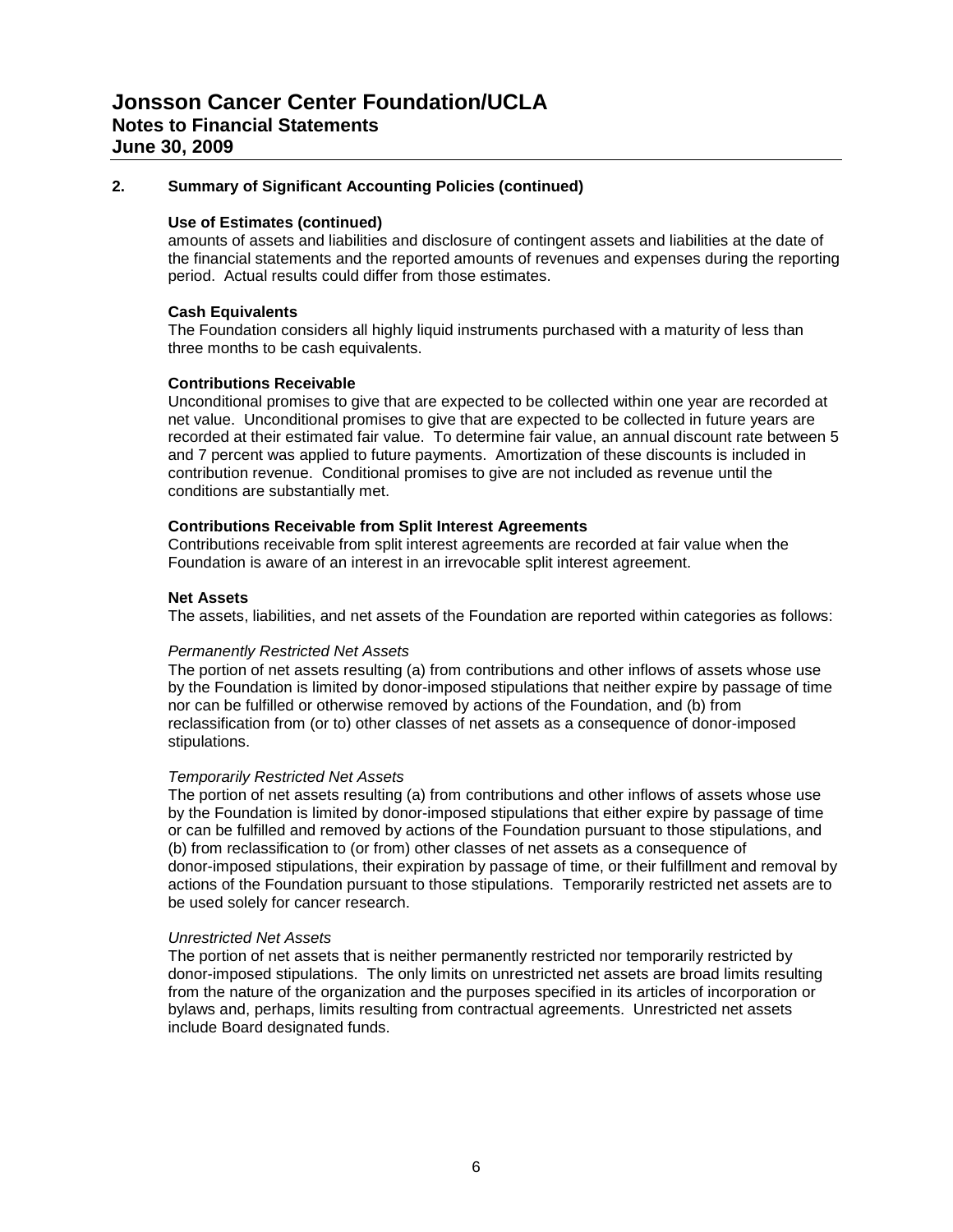# **2. Summary of Significant Accounting Policies (continued)**

# **Use of Estimates (continued)**

amounts of assets and liabilities and disclosure of contingent assets and liabilities at the date of the financial statements and the reported amounts of revenues and expenses during the reporting period. Actual results could differ from those estimates.

# **Cash Equivalents**

The Foundation considers all highly liquid instruments purchased with a maturity of less than three months to be cash equivalents.

#### **Contributions Receivable**

Unconditional promises to give that are expected to be collected within one year are recorded at net value. Unconditional promises to give that are expected to be collected in future years are recorded at their estimated fair value. To determine fair value, an annual discount rate between 5 and 7 percent was applied to future payments. Amortization of these discounts is included in contribution revenue. Conditional promises to give are not included as revenue until the conditions are substantially met.

#### **Contributions Receivable from Split Interest Agreements**

Contributions receivable from split interest agreements are recorded at fair value when the Foundation is aware of an interest in an irrevocable split interest agreement.

#### **Net Assets**

The assets, liabilities, and net assets of the Foundation are reported within categories as follows:

#### *Permanently Restricted Net Assets*

The portion of net assets resulting (a) from contributions and other inflows of assets whose use by the Foundation is limited by donor-imposed stipulations that neither expire by passage of time nor can be fulfilled or otherwise removed by actions of the Foundation, and (b) from reclassification from (or to) other classes of net assets as a consequence of donor-imposed stipulations.

#### *Temporarily Restricted Net Assets*

The portion of net assets resulting (a) from contributions and other inflows of assets whose use by the Foundation is limited by donor-imposed stipulations that either expire by passage of time or can be fulfilled and removed by actions of the Foundation pursuant to those stipulations, and (b) from reclassification to (or from) other classes of net assets as a consequence of donor-imposed stipulations, their expiration by passage of time, or their fulfillment and removal by actions of the Foundation pursuant to those stipulations. Temporarily restricted net assets are to be used solely for cancer research.

#### *Unrestricted Net Assets*

The portion of net assets that is neither permanently restricted nor temporarily restricted by donor-imposed stipulations. The only limits on unrestricted net assets are broad limits resulting from the nature of the organization and the purposes specified in its articles of incorporation or bylaws and, perhaps, limits resulting from contractual agreements. Unrestricted net assets include Board designated funds.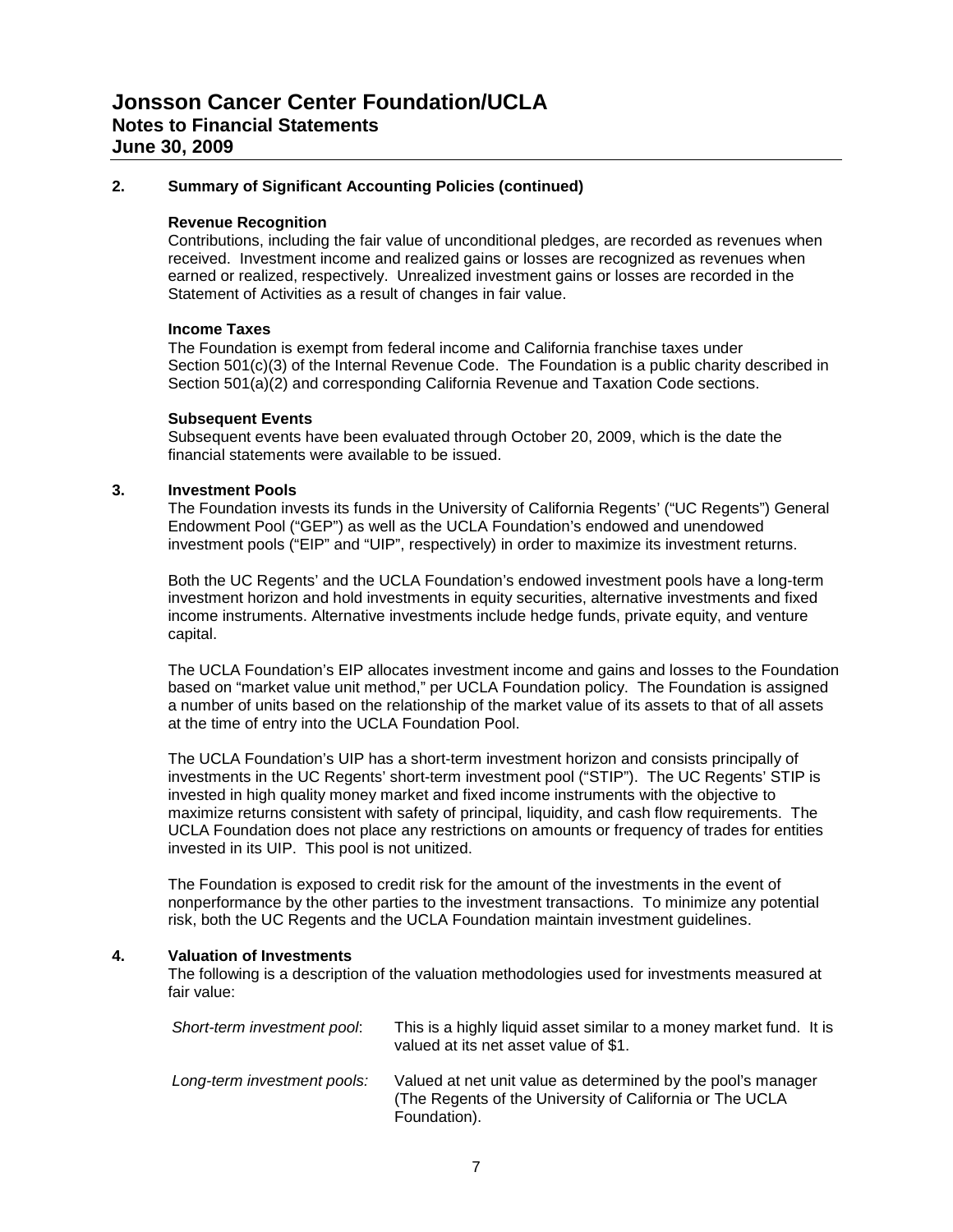# **2. Summary of Significant Accounting Policies (continued)**

### **Revenue Recognition**

Contributions, including the fair value of unconditional pledges, are recorded as revenues when received. Investment income and realized gains or losses are recognized as revenues when earned or realized, respectively. Unrealized investment gains or losses are recorded in the Statement of Activities as a result of changes in fair value.

#### **Income Taxes**

The Foundation is exempt from federal income and California franchise taxes under Section 501(c)(3) of the Internal Revenue Code. The Foundation is a public charity described in Section 501(a)(2) and corresponding California Revenue and Taxation Code sections.

#### **Subsequent Events**

Subsequent events have been evaluated through October 20, 2009, which is the date the financial statements were available to be issued.

#### **3. Investment Pools**

The Foundation invests its funds in the University of California Regents' ("UC Regents") General Endowment Pool ("GEP") as well as the UCLA Foundation's endowed and unendowed investment pools ("EIP" and "UIP", respectively) in order to maximize its investment returns.

Both the UC Regents' and the UCLA Foundation's endowed investment pools have a long-term investment horizon and hold investments in equity securities, alternative investments and fixed income instruments. Alternative investments include hedge funds, private equity, and venture capital.

The UCLA Foundation's EIP allocates investment income and gains and losses to the Foundation based on "market value unit method," per UCLA Foundation policy. The Foundation is assigned a number of units based on the relationship of the market value of its assets to that of all assets at the time of entry into the UCLA Foundation Pool.

The UCLA Foundation's UIP has a short-term investment horizon and consists principally of investments in the UC Regents' short-term investment pool ("STIP"). The UC Regents' STIP is invested in high quality money market and fixed income instruments with the objective to maximize returns consistent with safety of principal, liquidity, and cash flow requirements. The UCLA Foundation does not place any restrictions on amounts or frequency of trades for entities invested in its UIP. This pool is not unitized.

The Foundation is exposed to credit risk for the amount of the investments in the event of nonperformance by the other parties to the investment transactions. To minimize any potential risk, both the UC Regents and the UCLA Foundation maintain investment guidelines.

#### **4. Valuation of Investments**

The following is a description of the valuation methodologies used for investments measured at fair value:

| Short-term investment pool: | This is a highly liquid asset similar to a money market fund. It is<br>valued at its net asset value of \$1.                             |
|-----------------------------|------------------------------------------------------------------------------------------------------------------------------------------|
| Long-term investment pools: | Valued at net unit value as determined by the pool's manager<br>(The Regents of the University of California or The UCLA<br>Foundation). |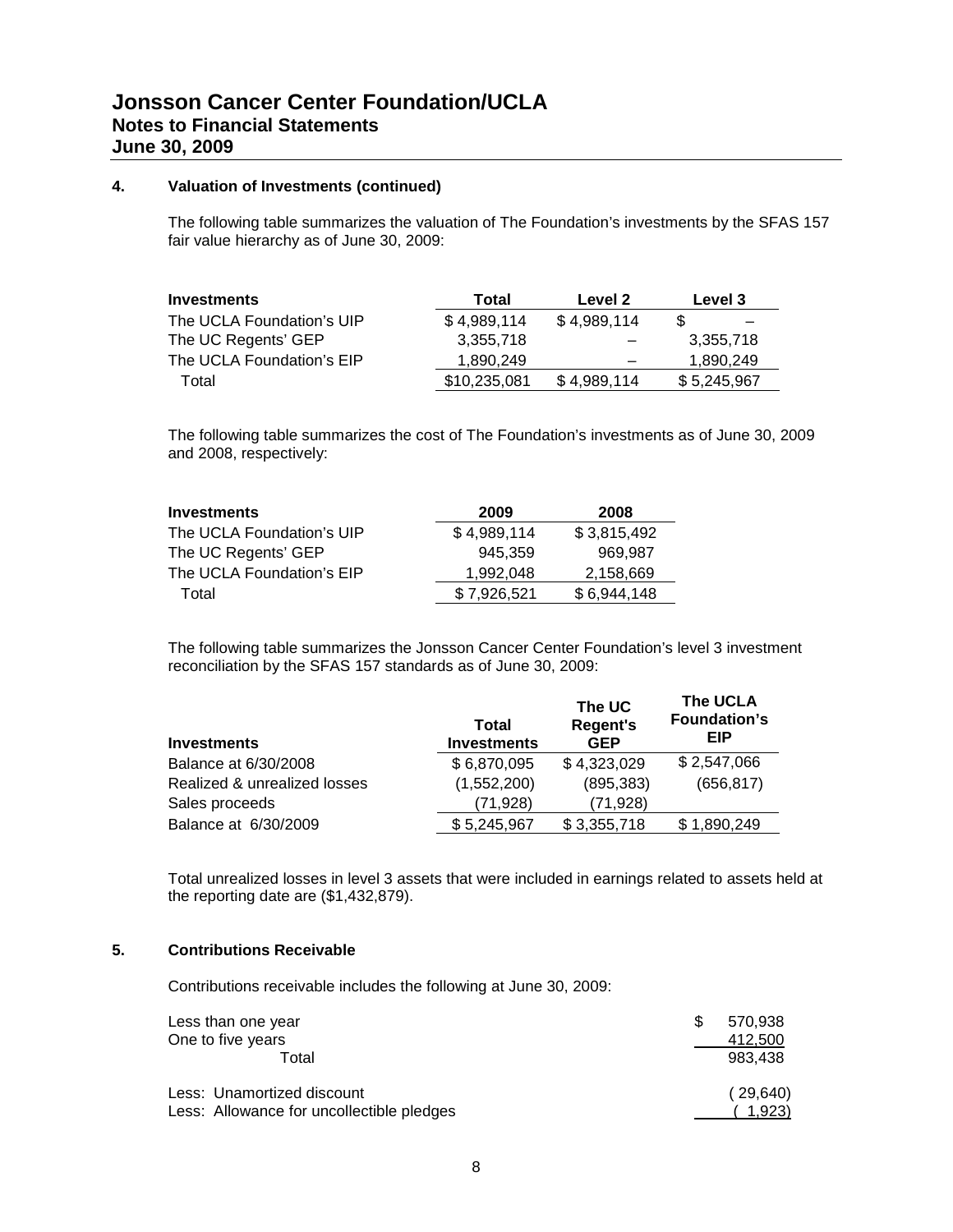# **4. Valuation of Investments (continued)**

The following table summarizes the valuation of The Foundation's investments by the SFAS 157 fair value hierarchy as of June 30, 2009:

| <b>Investments</b>        | Total        | Level 2     | Level 3     |
|---------------------------|--------------|-------------|-------------|
| The UCLA Foundation's UIP | \$4,989,114  | \$4,989,114 |             |
| The UC Regents' GEP       | 3.355.718    |             | 3,355,718   |
| The UCLA Foundation's EIP | 1.890.249    |             | 1.890.249   |
| Total                     | \$10,235,081 | \$4.989.114 | \$5,245,967 |

The following table summarizes the cost of The Foundation's investments as of June 30, 2009 and 2008, respectively:

| <b>Investments</b>        | 2009        | 2008        |
|---------------------------|-------------|-------------|
| The UCLA Foundation's UIP | \$4,989,114 | \$3,815,492 |
| The UC Regents' GEP       | 945.359     | 969.987     |
| The UCLA Foundation's EIP | 1.992.048   | 2,158,669   |
| Total                     | \$7,926,521 | \$6,944,148 |

The following table summarizes the Jonsson Cancer Center Foundation's level 3 investment reconciliation by the SFAS 157 standards as of June 30, 2009:

| <b>Investments</b>           | Total<br><b>Investments</b> | The UC<br><b>Regent's</b><br><b>GEP</b> | The UCLA<br><b>Foundation's</b><br>EIP |
|------------------------------|-----------------------------|-----------------------------------------|----------------------------------------|
| Balance at 6/30/2008         | \$6,870,095                 | \$4,323,029                             | \$2,547,066                            |
| Realized & unrealized losses | (1,552,200)                 | (895, 383)                              | (656, 817)                             |
| Sales proceeds               | (71,928)                    | (71, 928)                               |                                        |
| Balance at 6/30/2009         | \$5,245,967                 | \$3,355,718                             | \$1,890,249                            |

Total unrealized losses in level 3 assets that were included in earnings related to assets held at the reporting date are (\$1,432,879).

# **5. Contributions Receivable**

Contributions receivable includes the following at June 30, 2009:

| Less than one year<br>One to five years<br>Total | 570.938<br>\$.<br>412,500<br>983.438 |
|--------------------------------------------------|--------------------------------------|
| Less: Unamortized discount                       | (29,640)                             |
| Less: Allowance for uncollectible pledges        | 1,923)                               |